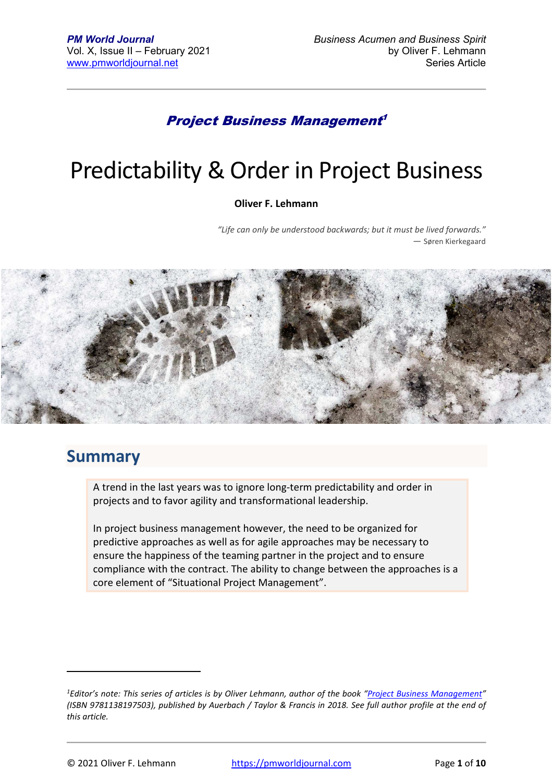### Project Business Management 1

# Predictability & Order in Project Business

#### **Oliver F. Lehmann**

*"Life can only be understood backwards; but it must be lived forwards." ―* Søren Kierkegaard



### **Summary**

A trend in the last years was to ignore long-term predictability and order in projects and to favor agility and transformational leadership.

In project business management however, the need to be organized for predictive approaches as well as for agile approaches may be necessary to ensure the happiness of the teaming partner in the project and to ensure compliance with the contract. The ability to change between the approaches is a core element of "Situational Project Management".

*<sup>1</sup>Editor's note: This series of articles is by Oliver Lehmann, author of the book "Project Business Management" (ISBN 9781138197503), published by Auerbach / Taylor & Francis in 2018. See full author profile at the end of this article.*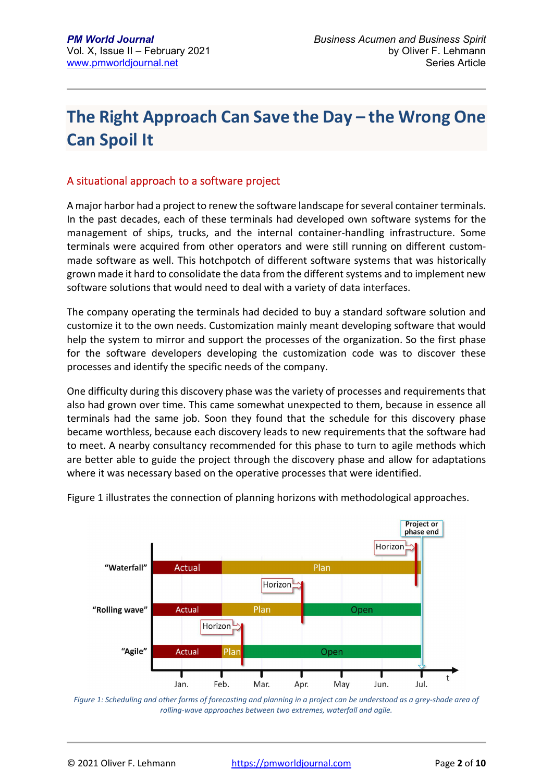# **The Right Approach Can Save the Day – the Wrong One Can Spoil It**

#### A situational approach to a software project

A major harbor had a project to renew the software landscape for several container terminals. In the past decades, each of these terminals had developed own software systems for the management of ships, trucks, and the internal container-handling infrastructure. Some terminals were acquired from other operators and were still running on different custommade software as well. This hotchpotch of different software systems that was historically grown made it hard to consolidate the data from the different systems and to implement new software solutions that would need to deal with a variety of data interfaces.

The company operating the terminals had decided to buy a standard software solution and customize it to the own needs. Customization mainly meant developing software that would help the system to mirror and support the processes of the organization. So the first phase for the software developers developing the customization code was to discover these processes and identify the specific needs of the company.

One difficulty during this discovery phase was the variety of processes and requirements that also had grown over time. This came somewhat unexpected to them, because in essence all terminals had the same job. Soon they found that the schedule for this discovery phase became worthless, because each discovery leads to new requirements that the software had to meet. A nearby consultancy recommended for this phase to turn to agile methods which are better able to guide the project through the discovery phase and allow for adaptations where it was necessary based on the operative processes that were identified.



Figure 1 illustrates the connection of planning horizons with methodological approaches.

Figure 1: Scheduling and other forms of forecasting and planning in a project can be understood as a grey-shade area of *rolling-wave approaches between two extremes, waterfall and agile.*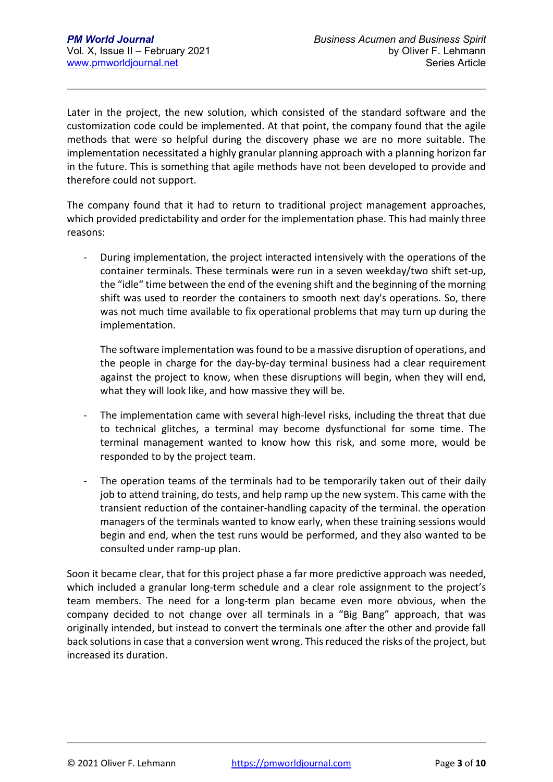Later in the project, the new solution, which consisted of the standard software and the customization code could be implemented. At that point, the company found that the agile methods that were so helpful during the discovery phase we are no more suitable. The implementation necessitated a highly granular planning approach with a planning horizon far in the future. This is something that agile methods have not been developed to provide and therefore could not support.

The company found that it had to return to traditional project management approaches, which provided predictability and order for the implementation phase. This had mainly three reasons:

- During implementation, the project interacted intensively with the operations of the container terminals. These terminals were run in a seven weekday/two shift set-up, the "idle" time between the end of the evening shift and the beginning of the morning shift was used to reorder the containers to smooth next day's operations. So, there was not much time available to fix operational problems that may turn up during the implementation.

The software implementation was found to be a massive disruption of operations, and the people in charge for the day-by-day terminal business had a clear requirement against the project to know, when these disruptions will begin, when they will end, what they will look like, and how massive they will be.

- The implementation came with several high-level risks, including the threat that due to technical glitches, a terminal may become dysfunctional for some time. The terminal management wanted to know how this risk, and some more, would be responded to by the project team.
- The operation teams of the terminals had to be temporarily taken out of their daily job to attend training, do tests, and help ramp up the new system. This came with the transient reduction of the container-handling capacity of the terminal. the operation managers of the terminals wanted to know early, when these training sessions would begin and end, when the test runs would be performed, and they also wanted to be consulted under ramp-up plan.

Soon it became clear, that for this project phase a far more predictive approach was needed, which included a granular long-term schedule and a clear role assignment to the project's team members. The need for a long-term plan became even more obvious, when the company decided to not change over all terminals in a "Big Bang" approach, that was originally intended, but instead to convert the terminals one after the other and provide fall back solutions in case that a conversion went wrong. This reduced the risks of the project, but increased its duration.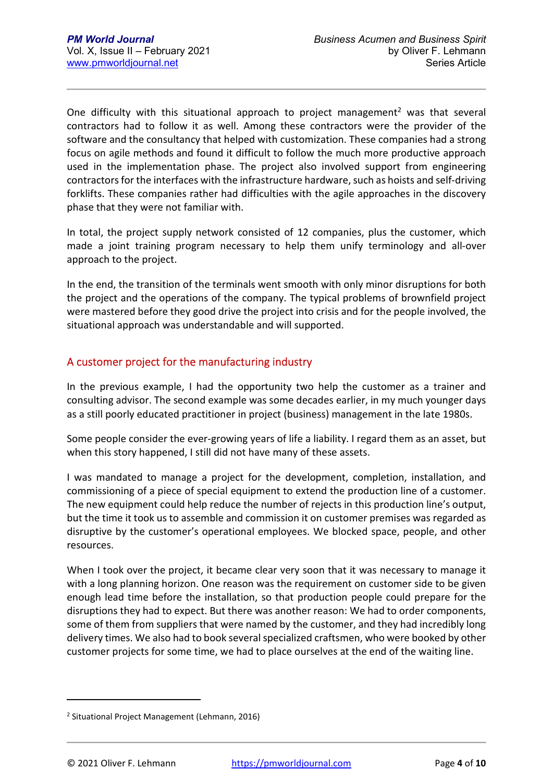One difficulty with this situational approach to project management<sup>2</sup> was that several contractors had to follow it as well. Among these contractors were the provider of the software and the consultancy that helped with customization. These companies had a strong focus on agile methods and found it difficult to follow the much more productive approach used in the implementation phase. The project also involved support from engineering contractors for the interfaces with the infrastructure hardware, such as hoists and self-driving forklifts. These companies rather had difficulties with the agile approaches in the discovery phase that they were not familiar with.

In total, the project supply network consisted of 12 companies, plus the customer, which made a joint training program necessary to help them unify terminology and all-over approach to the project.

In the end, the transition of the terminals went smooth with only minor disruptions for both the project and the operations of the company. The typical problems of brownfield project were mastered before they good drive the project into crisis and for the people involved, the situational approach was understandable and will supported.

#### A customer project for the manufacturing industry

In the previous example, I had the opportunity two help the customer as a trainer and consulting advisor. The second example was some decades earlier, in my much younger days as a still poorly educated practitioner in project (business) management in the late 1980s.

Some people consider the ever-growing years of life a liability. I regard them as an asset, but when this story happened, I still did not have many of these assets.

I was mandated to manage a project for the development, completion, installation, and commissioning of a piece of special equipment to extend the production line of a customer. The new equipment could help reduce the number of rejects in this production line's output, but the time it took us to assemble and commission it on customer premises was regarded as disruptive by the customer's operational employees. We blocked space, people, and other resources.

When I took over the project, it became clear very soon that it was necessary to manage it with a long planning horizon. One reason was the requirement on customer side to be given enough lead time before the installation, so that production people could prepare for the disruptions they had to expect. But there was another reason: We had to order components, some of them from suppliers that were named by the customer, and they had incredibly long delivery times. We also had to book several specialized craftsmen, who were booked by other customer projects for some time, we had to place ourselves at the end of the waiting line.

<sup>&</sup>lt;sup>2</sup> Situational Project Management (Lehmann, 2016)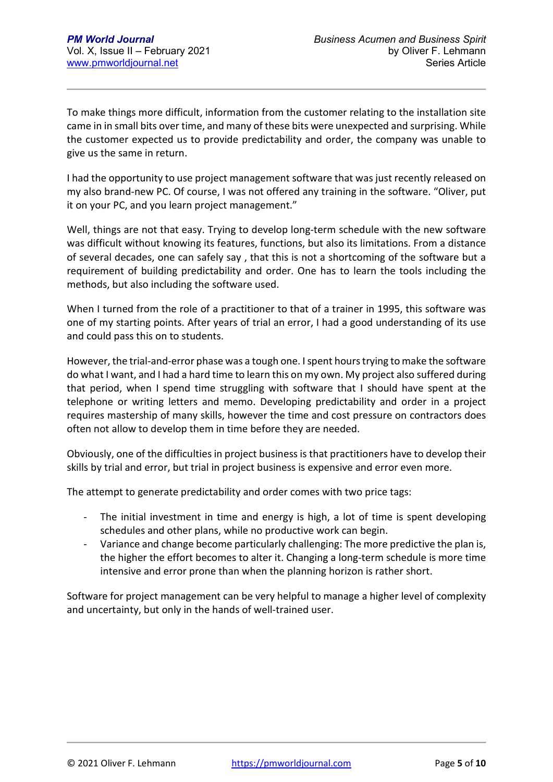To make things more difficult, information from the customer relating to the installation site came in in small bits over time, and many of these bits were unexpected and surprising. While the customer expected us to provide predictability and order, the company was unable to give us the same in return.

I had the opportunity to use project management software that was just recently released on my also brand-new PC. Of course, I was not offered any training in the software. "Oliver, put it on your PC, and you learn project management."

Well, things are not that easy. Trying to develop long-term schedule with the new software was difficult without knowing its features, functions, but also its limitations. From a distance of several decades, one can safely say , that this is not a shortcoming of the software but a requirement of building predictability and order. One has to learn the tools including the methods, but also including the software used.

When I turned from the role of a practitioner to that of a trainer in 1995, this software was one of my starting points. After years of trial an error, I had a good understanding of its use and could pass this on to students.

However, the trial-and-error phase was a tough one. I spent hours trying to make the software do what I want, and I had a hard time to learn this on my own. My project also suffered during that period, when I spend time struggling with software that I should have spent at the telephone or writing letters and memo. Developing predictability and order in a project requires mastership of many skills, however the time and cost pressure on contractors does often not allow to develop them in time before they are needed.

Obviously, one of the difficulties in project business is that practitioners have to develop their skills by trial and error, but trial in project business is expensive and error even more.

The attempt to generate predictability and order comes with two price tags:

- The initial investment in time and energy is high, a lot of time is spent developing schedules and other plans, while no productive work can begin.
- Variance and change become particularly challenging: The more predictive the plan is, the higher the effort becomes to alter it. Changing a long-term schedule is more time intensive and error prone than when the planning horizon is rather short.

Software for project management can be very helpful to manage a higher level of complexity and uncertainty, but only in the hands of well-trained user.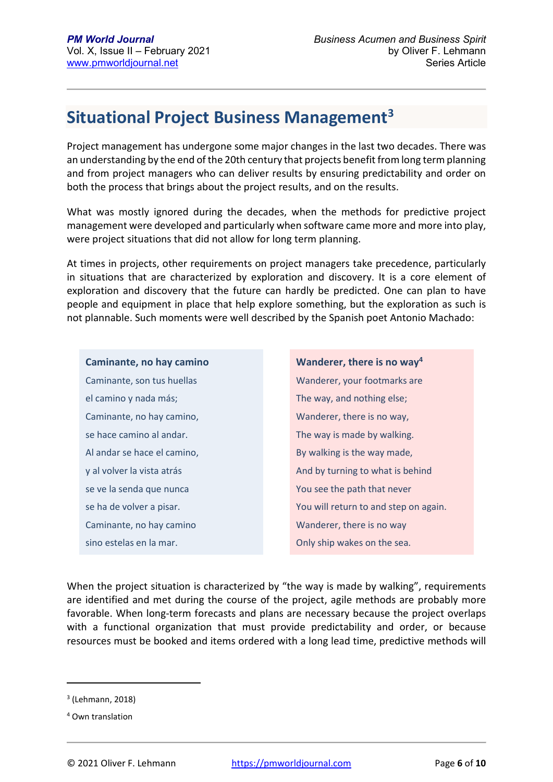## **Situational Project Business Management<sup>3</sup>**

Project management has undergone some major changes in the last two decades. There was an understanding by the end of the 20th century that projects benefit from long term planning and from project managers who can deliver results by ensuring predictability and order on both the process that brings about the project results, and on the results.

What was mostly ignored during the decades, when the methods for predictive project management were developed and particularly when software came more and more into play, were project situations that did not allow for long term planning.

At times in projects, other requirements on project managers take precedence, particularly in situations that are characterized by exploration and discovery. It is a core element of exploration and discovery that the future can hardly be predicted. One can plan to have people and equipment in place that help explore something, but the exploration as such is not plannable. Such moments were well described by the Spanish poet Antonio Machado:

**Caminante, no hay camino**  Caminante, son tus huellas el camino y nada más; Caminante, no hay camino, se hace camino al andar. Al andar se hace el camino, y al volver la vista atrás se ve la senda que nunca se ha de volver a pisar. Caminante, no hay camino sino estelas en la mar.

**Wanderer, there is no way<sup>4</sup>** Wanderer, your footmarks are The way, and nothing else; Wanderer, there is no way, The way is made by walking. By walking is the way made, And by turning to what is behind You see the path that never You will return to and step on again. Wanderer, there is no way Only ship wakes on the sea.

When the project situation is characterized by "the way is made by walking", requirements are identified and met during the course of the project, agile methods are probably more favorable. When long-term forecasts and plans are necessary because the project overlaps with a functional organization that must provide predictability and order, or because resources must be booked and items ordered with a long lead time, predictive methods will

<sup>3</sup> (Lehmann, 2018)

<sup>4</sup> Own translation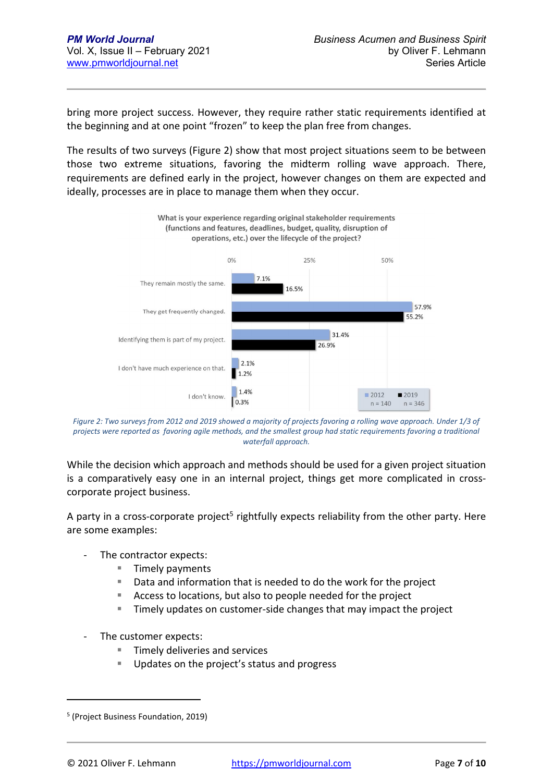bring more project success. However, they require rather static requirements identified at the beginning and at one point "frozen" to keep the plan free from changes.

The results of two surveys (Figure 2) show that most project situations seem to be between those two extreme situations, favoring the midterm rolling wave approach. There, requirements are defined early in the project, however changes on them are expected and ideally, processes are in place to manage them when they occur.



*Figure 2: Two surveys from 2012 and 2019 showed a majority of projects favoring a rolling wave approach. Under 1/3 of projects were reported as favoring agile methods, and the smallest group had static requirements favoring a traditional waterfall approach.* 

While the decision which approach and methods should be used for a given project situation is a comparatively easy one in an internal project, things get more complicated in crosscorporate project business.

A party in a cross-corporate project<sup>5</sup> rightfully expects reliability from the other party. Here are some examples:

- The contractor expects:
	- **Timely payments**
	- Data and information that is needed to do the work for the project
	- Access to locations, but also to people needed for the project
	- **Timely updates on customer-side changes that may impact the project**
- The customer expects:
	- $\blacksquare$  Timely deliveries and services
	- Updates on the project's status and progress

<sup>5</sup> (Project Business Foundation, 2019)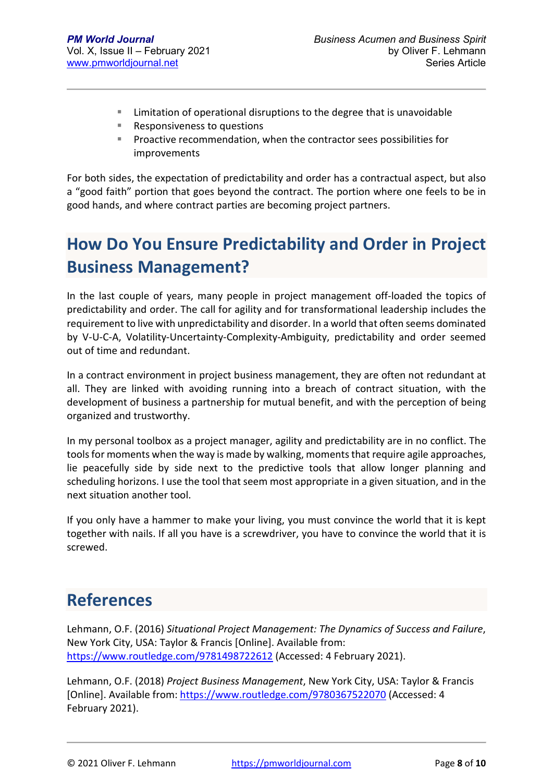- Limitation of operational disruptions to the degree that is unavoidable
- Responsiveness to questions
- Proactive recommendation, when the contractor sees possibilities for improvements

For both sides, the expectation of predictability and order has a contractual aspect, but also a "good faith" portion that goes beyond the contract. The portion where one feels to be in good hands, and where contract parties are becoming project partners.

# **How Do You Ensure Predictability and Order in Project Business Management?**

In the last couple of years, many people in project management off-loaded the topics of predictability and order. The call for agility and for transformational leadership includes the requirement to live with unpredictability and disorder. In a world that often seems dominated by V-U-C-A, Volatility-Uncertainty-Complexity-Ambiguity, predictability and order seemed out of time and redundant.

In a contract environment in project business management, they are often not redundant at all. They are linked with avoiding running into a breach of contract situation, with the development of business a partnership for mutual benefit, and with the perception of being organized and trustworthy.

In my personal toolbox as a project manager, agility and predictability are in no conflict. The tools for moments when the way is made by walking, moments that require agile approaches, lie peacefully side by side next to the predictive tools that allow longer planning and scheduling horizons. I use the tool that seem most appropriate in a given situation, and in the next situation another tool.

If you only have a hammer to make your living, you must convince the world that it is kept together with nails. If all you have is a screwdriver, you have to convince the world that it is screwed.

### **References**

Lehmann, O.F. (2016) *Situational Project Management: The Dynamics of Success and Failure*, New York City, USA: Taylor & Francis [Online]. Available from: https://www.routledge.com/9781498722612 (Accessed: 4 February 2021).

Lehmann, O.F. (2018) *Project Business Management*, New York City, USA: Taylor & Francis [Online]. Available from: https://www.routledge.com/9780367522070 (Accessed: 4 February 2021).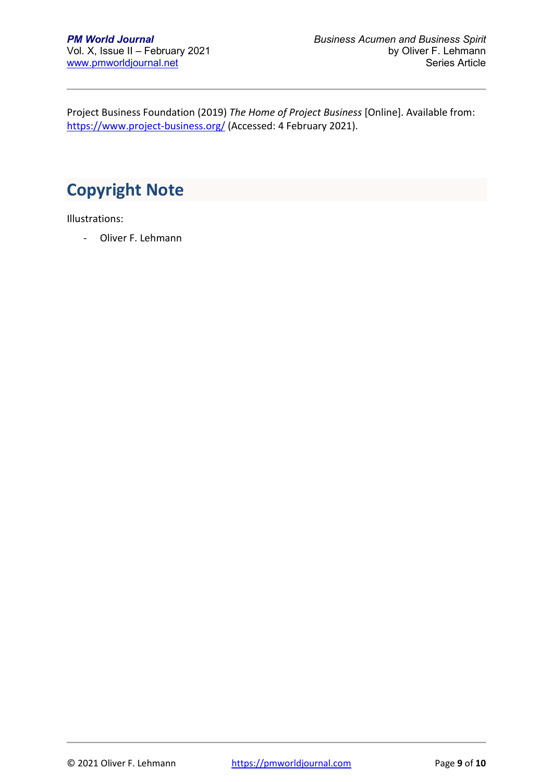Project Business Foundation (2019) *The Home of Project Business* [Online]. Available from: https://www.project-business.org/ (Accessed: 4 February 2021).

# **Copyright Note**

Illustrations:

- Oliver F. Lehmann